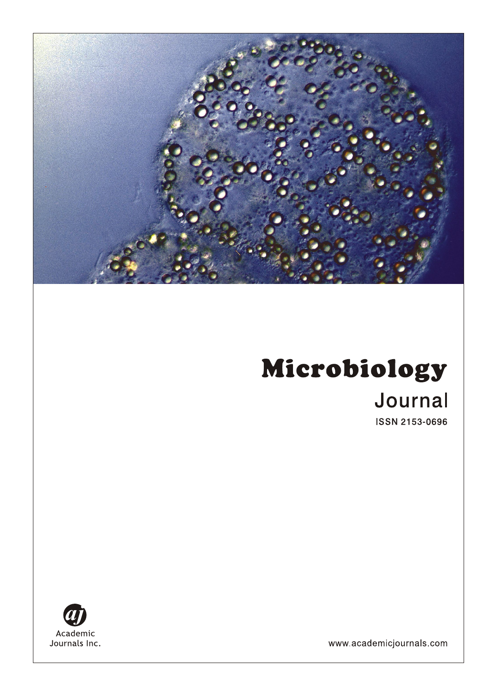# Microbiology Journal

**ISSN 2153-0696** 



www.academicjournals.com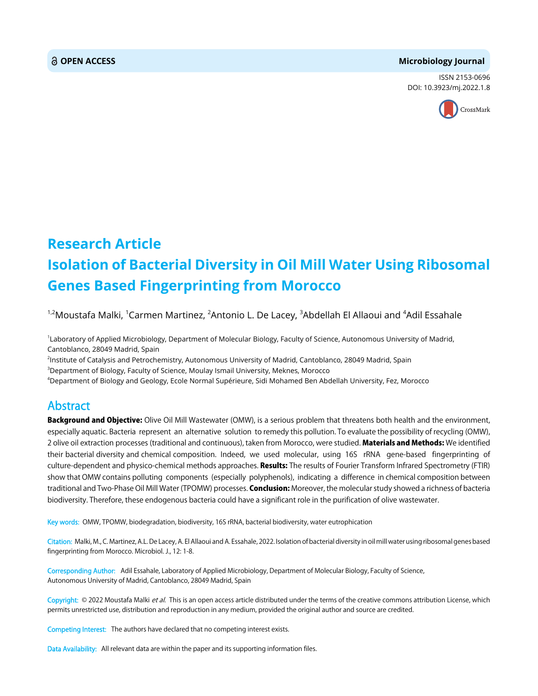#### **OPEN ACCESS Microbiology Journal**

ISSN 2153-0696 DOI: 10.3923/mj.2022.1.8



## **Research Article Isolation of Bacterial Diversity in Oil Mill Water Using Ribosomal Genes Based Fingerprinting from Morocco**

<sup>1,2</sup>Moustafa Malki, <sup>1</sup>Carmen Martinez, <sup>2</sup>Antonio L. De Lacey, <sup>3</sup>Abdellah El Allaoui and <sup>4</sup>Adil Essahale

<sup>1</sup>Laboratory of Applied Microbiology, Department of Molecular Biology, Faculty of Science, Autonomous University of Madrid, Cantoblanco, 28049 Madrid, Spain

2 Institute of Catalysis and Petrochemistry, Autonomous University of Madrid, Cantoblanco, 28049 Madrid, Spain  $^3$ Department of Biology, Faculty of Science, Moulay Ismail University, Meknes, Morocco

4 Department of Biology and Geology, Ecole Normal Supérieure, Sidi Mohamed Ben Abdellah University, Fez, Morocco

### Abstract

Background and Objective: Olive Oil Mill Wastewater (OMW), is a serious problem that threatens both health and the environment, especially aquatic. Bacteria represent an alternative solution to remedy this pollution. To evaluate the possibility of recycling (OMW), 2 olive oil extraction processes (traditional and continuous), taken from Morocco, were studied. Materials and Methods: We identified their bacterial diversity and chemical composition. Indeed, we used molecular, using 16S rRNA gene-based fingerprinting of culture-dependent and physico-chemical methods approaches. Results: The results of Fourier Transform Infrared Spectrometry (FTIR) show that OMW contains polluting components (especially polyphenols), indicating a difference in chemical composition between traditional and Two-Phase Oil Mill Water (TPOMW) processes. Conclusion: Moreover, the molecular study showed a richness of bacteria biodiversity. Therefore, these endogenous bacteria could have a significant role in the purification of olive wastewater.

Key words: OMW, TPOMW, biodegradation, biodiversity, 16S rRNA, bacterial biodiversity, water eutrophication

Citation: Malki, M., C. Martinez, A.L. De Lacey, A. El Allaoui and A. Essahale, 2022. Isolation of bacterial diversity in oil mill water using ribosomal genes based fingerprinting from Morocco. Microbiol. J., 12: 1-8.

Corresponding Author: Adil Essahale, Laboratory of Applied Microbiology, Department of Molecular Biology, Faculty of Science, Autonomous University of Madrid, Cantoblanco, 28049 Madrid, Spain

Copyright: © 2022 Moustafa Malki et al. This is an open access article distributed under the terms of the creative commons attribution License, which permits unrestricted use, distribution and reproduction in any medium, provided the original author and source are credited.

Competing Interest: The authors have declared that no competing interest exists.

Data Availability: All relevant data are within the paper and its supporting information files.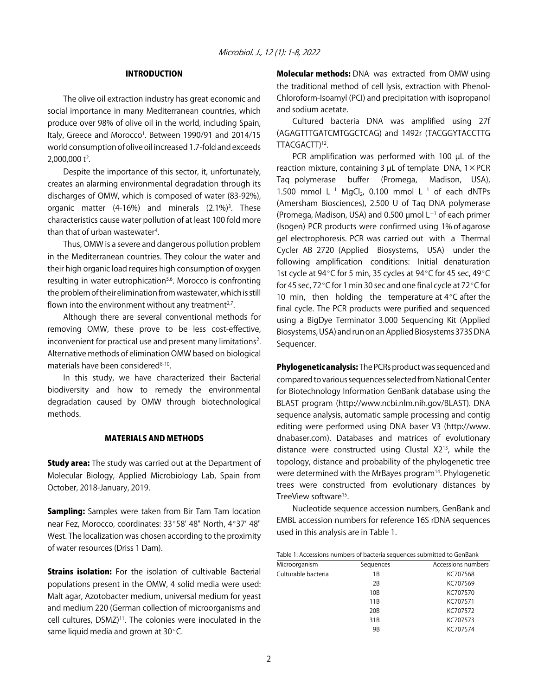#### INTRODUCTION

The olive oil extraction industry has great economic and social importance in many Mediterranean countries, which produce over 98% of olive oil in the world, including Spain, Italy, Greece and Morocco<sup>1</sup>. Between 1990/91 and 2014/15 world consumption of olive oil increased 1.7-fold and exceeds  $2,000,000$  t<sup>2</sup>.

Despite the importance of this sector, it, unfortunately, creates an alarming environmental degradation through its discharges of OMW, which is composed of water (83-92%), organic matter (4-16%) and minerals (2.1%)<sup>3</sup>. These characteristics cause water pollution of at least 100 fold more than that of urban wastewater<sup>4</sup>.

Thus, OMW is a severe and dangerous pollution problem in the Mediterranean countries. They colour the water and their high organic load requires high consumption of oxygen resulting in water eutrophication<sup>5,6</sup>. Morocco is confronting the problem of their elimination from wastewater, which is still flown into the environment without any treatment $2^7$ .

Although there are several conventional methods for removing OMW, these prove to be less cost-effective, inconvenient for practical use and present many limitations<sup>2</sup>. Alternative methods of elimination OMW based on biological materials have been considered<sup>8-10</sup>.

In this study, we have characterized their Bacterial biodiversity and how to remedy the environmental degradation caused by OMW through biotechnological methods.

#### MATERIALS AND METHODS

**Study area:** The study was carried out at the Department of Molecular Biology, Applied Microbiology Lab, Spain from October, 2018-January, 2019.

Sampling: Samples were taken from Bir Tam Tam location near Fez, Morocco, coordinates: 33°58' 48" North, 4°37' 48" West. The localization was chosen according to the proximity of water resources (Driss 1 Dam).

**Strains isolation:** For the isolation of cultivable Bacterial populations present in the OMW, 4 solid media were used: Malt agar, Azotobacter medium, universal medium for yeast and medium 220 (German collection of microorganisms and cell cultures, DSMZ)<sup>11</sup>. The colonies were inoculated in the same liquid media and grown at  $30^{\circ}$ C.

Molecular methods: DNA was extracted from OMW using the traditional method of cell lysis, extraction with Phenol-Chloroform-Isoamyl (PCI) and precipitation with isopropanol and sodium acetate.

Cultured bacteria DNA was amplified using 27f (AGAGTTTGATCMTGGCTCAG) and 1492r (TACGGYTACCTTG TTACGACTT)<sup>12</sup>.

PCR amplification was performed with 100 µL of the reaction mixture, containing 3  $\mu$ L of template DNA,  $1 \times PCR$ Taq polymerase buffer (Promega, Madison, USA), 1.500 mmol  $L^{-1}$  MgCl<sub>2</sub>, 0.100 mmol  $L^{-1}$  of each dNTPs (Amersham Biosciences), 2.500 U of Taq DNA polymerase (Promega, Madison, USA) and 0.500  $\mu$ mol L<sup>-1</sup> of each primer (Isogen) PCR products were confirmed using 1% of agarose gel electrophoresis. PCR was carried out with a Thermal Cycler AB 2720 (Applied Biosystems, USA) under the following amplification conditions: Initial denaturation 1st cycle at 94°C for 5 min, 35 cycles at 94°C for 45 sec, 49°C for 45 sec, 72 $\degree$ C for 1 min 30 sec and one final cycle at 72 $\degree$ C for 10 min, then holding the temperature at  $4^{\circ}$ C after the final cycle. The PCR products were purified and sequenced using a BigDye Terminator 3.000 Sequencing Kit (Applied Biosystems, USA) and run on an Applied Biosystems 373S DNA Sequencer.

Phylogenetic analysis: The PCRs product was sequenced and compared to various sequences selected from National Center for Biotechnology Information GenBank database using the BLAST program (http://www.ncbi.nlm.nih.gov/BLAST). DNA sequence analysis, automatic sample processing and contig editing were performed using DNA baser V3 (http://www. dnabaser.com). Databases and matrices of evolutionary distance were constructed using Clustal X213, while the topology, distance and probability of the phylogenetic tree were determined with the MrBayes program<sup>14</sup>. Phylogenetic trees were constructed from evolutionary distances by TreeView software<sup>15</sup>.

Nucleotide sequence accession numbers, GenBank and EMBL accession numbers for reference 16S rDNA sequences used in this analysis are in Table 1.

| Table 1: Accessions numbers of bacteria sequences submitted to GenBank |  |
|------------------------------------------------------------------------|--|
|------------------------------------------------------------------------|--|

| Microorganism       | Sequences       | Accessions numbers |
|---------------------|-----------------|--------------------|
| Culturable bacteria | 1Β              | KC707568           |
|                     | 2B              | KC707569           |
|                     | 10 <sub>B</sub> | KC707570           |
|                     | 11 <sub>B</sub> | KC707571           |
|                     | 20 <sub>B</sub> | KC707572           |
|                     | 31 <sub>B</sub> | KC707573           |
|                     | 9B              | KC707574           |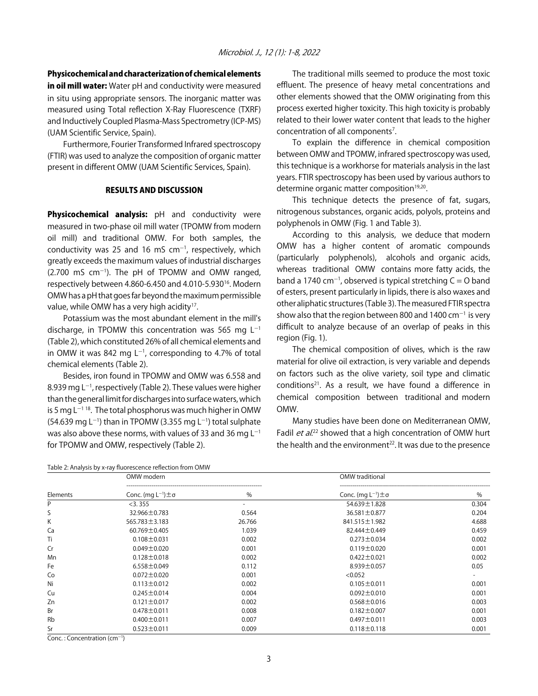Physicochemical and characterization of chemical elements

in oil mill water: Water pH and conductivity were measured in situ using appropriate sensors. The inorganic matter was measured using Total reflection X-Ray Fluorescence (TXRF) and Inductively Coupled Plasma-Mass Spectrometry (ICP-MS) (UAM Scientific Service, Spain).

Furthermore, Fourier Transformed Infrared spectroscopy (FTIR) was used to analyze the composition of organic matter present in different OMW (UAM Scientific Services, Spain).

#### RESULTS AND DISCUSSION

Physicochemical analysis: pH and conductivity were measured in two-phase oil mill water (TPOMW from modern oil mill) and traditional OMW. For both samples, the conductivity was 25 and 16 mS  $cm^{-1}$ , respectively, which greatly exceeds the maximum values of industrial discharges  $(2.700 \text{ mS cm}^{-1})$ . The pH of TPOMW and OMW ranged, respectively between 4.860-6.450 and 4.010-5.93016. Modern OMW has a pH that goes far beyond the maximum permissible value, while OMW has a very high acidity<sup>17</sup>.

Potassium was the most abundant element in the mill's discharge, in TPOMW this concentration was 565 mg  $L^{-1}$ (Table 2), which constituted 26% of all chemical elements and in OMW it was 842 mg  $L^{-1}$ , corresponding to 4.7% of total chemical elements (Table 2).

Besides, iron found in TPOMW and OMW was 6.558 and 8.939 mg L<sup>-1</sup>, respectively (Table 2). These values were higher than the general limit for discharges into surface waters, which is 5 mg  $L^{-1}$ <sup>18</sup>. The total phosphorus was much higher in OMW (54.639 mg L<sup>-1</sup>) than in TPOMW (3.355 mg L<sup>-1</sup>) total sulphate was also above these norms, with values of 33 and 36 mg  $L^{-1}$ for TPOMW and OMW, respectively (Table 2).

Table 2: Analysis by x-ray fluorescence reflection from OMW

The traditional mills seemed to produce the most toxic effluent. The presence of heavy metal concentrations and other elements showed that the OMW originating from this process exerted higher toxicity. This high toxicity is probably related to their lower water content that leads to the higher concentration of all components<sup>7</sup>.

To explain the difference in chemical composition between OMW and TPOMW, infrared spectroscopy was used, this technique is a workhorse for materials analysis in the last years. FTIR spectroscopy has been used by various authors to determine organic matter composition<sup>19,20</sup>.

This technique detects the presence of fat, sugars, nitrogenous substances, organic acids, polyols, proteins and polyphenols in OMW (Fig. 1 and Table 3).

According to this analysis, we deduce that modern OMW has a higher content of aromatic compounds (particularly polyphenols), alcohols and organic acids, whereas traditional OMW contains more fatty acids, the band a 1740 cm<sup>-1</sup>, observed is typical stretching C = O band of esters, present particularly in lipids, there is also waxes and other aliphatic structures (Table 3). The measured FTIR spectra show also that the region between 800 and 1400  $cm^{-1}$  is very difficult to analyze because of an overlap of peaks in this region (Fig. 1).

The chemical composition of olives, which is the raw material for olive oil extraction, is very variable and depends on factors such as the olive variety, soil type and climatic conditions<sup>21</sup>. As a result, we have found a difference in chemical composition between traditional and modern OMW.

Many studies have been done on Mediterranean OMW, Fadil *et al.*<sup>22</sup> showed that a high concentration of OMW hurt the health and the environment<sup>22</sup>. It was due to the presence

|          | OMW modern                        |        | OMW traditional                   |       |
|----------|-----------------------------------|--------|-----------------------------------|-------|
| Elements | Conc. (mg $L^{-1}$ ) $\pm \sigma$ | $\%$   | Conc. (mg $L^{-1}$ ) $\pm \sigma$ | $\%$  |
| P        | $<$ 3.355                         | -      | 54.639±1.828                      | 0.304 |
| S        | 32.966±0.783                      | 0.564  | 36.581 ± 0.877                    | 0.204 |
| Κ        | $565.783 \pm 3.183$               | 26.766 | 841.515 ± 1.982                   | 4.688 |
| Ca       | $60.769 \pm 0.405$                | 1.039  | 82.444±0.449                      | 0.459 |
| Ti       | $0.108 \pm 0.031$                 | 0.002  | $0.273 \pm 0.034$                 | 0.002 |
| Cr       | $0.049 \pm 0.020$                 | 0.001  | $0.119 \pm 0.020$                 | 0.001 |
| Mn       | $0.128 \pm 0.018$                 | 0.002  | $0.422 \pm 0.021$                 | 0.002 |
| Fe       | $6.558 \pm 0.049$                 | 0.112  | $8.939 \pm 0.057$                 | 0.05  |
| Co       | $0.072 \pm 0.020$                 | 0.001  | < 0.052                           |       |
| Ni       | $0.113 \pm 0.012$                 | 0.002  | $0.105 \pm 0.011$                 | 0.001 |
| Cu       | $0.245 \pm 0.014$                 | 0.004  | $0.092 \pm 0.010$                 | 0.001 |
| Zn       | $0.121 \pm 0.017$                 | 0.002  | $0.568 \pm 0.016$                 | 0.003 |
| Br       | $0.478 \pm 0.011$                 | 0.008  | $0.182 \pm 0.007$                 | 0.001 |
| Rb       | $0.400 \pm 0.011$                 | 0.007  | $0.497 \pm 0.011$                 | 0.003 |
| Sr       | $0.523 \pm 0.011$                 | 0.009  | $0.118 \pm 0.118$                 | 0.001 |

 $Conc.:$  Concentration  $(cm<sup>-1</sup>)$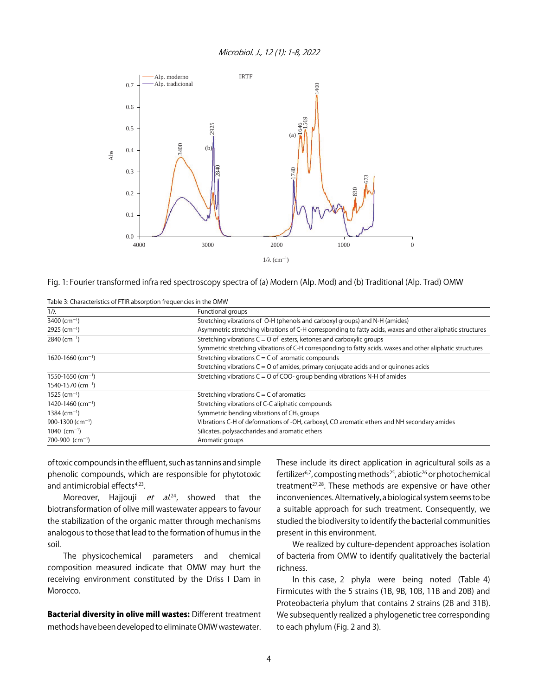

Fig. 1: Fourier transformed infra red spectroscopy spectra of (a) Modern (Alp. Mod) and (b) Traditional (Alp. Trad) OMW

| Table 3: Characteristics of FTIR absorption frequencies in the OMW |  |
|--------------------------------------------------------------------|--|
|                                                                    |  |

| $1/\lambda$                       | Functional groups                                                                                          |  |  |
|-----------------------------------|------------------------------------------------------------------------------------------------------------|--|--|
| 3400 (cm <sup>-1</sup> )          | Stretching vibrations of O-H (phenols and carboxyl groups) and N-H (amides)                                |  |  |
| $2925$ (cm <sup>-1</sup> )        | Asymmetric stretching vibrations of C-H corresponding to fatty acids, waxes and other aliphatic structures |  |  |
| $2840$ (cm <sup>-1</sup> )        | Stretching vibrations $C = 0$ of esters, ketones and carboxylic groups                                     |  |  |
|                                   | Symmetric stretching vibrations of C-H corresponding to fatty acids, waxes and other aliphatic structures  |  |  |
| $1620 - 1660$ (cm <sup>-1</sup> ) | Stretching vibrations $C = C$ of aromatic compounds                                                        |  |  |
|                                   | Stretching vibrations $C = 0$ of amides, primary conjugate acids and or quinones acids                     |  |  |
| $1550 - 1650$ (cm <sup>-1</sup> ) | Stretching vibrations $C = 0$ of COO- group bending vibrations N-H of amides                               |  |  |
| $1540 - 1570$ (cm <sup>-1</sup> ) |                                                                                                            |  |  |
| $1525$ (cm <sup>-1</sup> )        | Stretching vibrations $C = C$ of aromatics                                                                 |  |  |
| 1420-1460 (cm <sup>-1</sup> )     | Stretching vibrations of C-C aliphatic compounds                                                           |  |  |
| $1384$ (cm <sup>-1</sup> )        | Symmetric bending vibrations of CH <sub>3</sub> groups                                                     |  |  |
| $900 - 1300$ (cm <sup>-1</sup> )  | Vibrations C-H of deformations of -OH, carboxyl, CO aromatic ethers and NH secondary amides                |  |  |
| $1040$ (cm <sup>-1</sup> )        | Silicates, polysaccharides and aromatic ethers                                                             |  |  |
| $700-900$ (cm <sup>-1</sup> )     | Aromatic groups                                                                                            |  |  |

of toxic compounds in the effluent, such as tannins and simple phenolic compounds, which are responsible for phytotoxic and antimicrobial effects<sup>4,23</sup>.

Moreover, Hajjouji *et al.*<sup>24</sup>, showed that the biotransformation of olive mill wastewater appears to favour the stabilization of the organic matter through mechanisms analogous to those that lead to the formation of humus in the soil.

The physicochemical parameters and chemical composition measured indicate that OMW may hurt the receiving environment constituted by the Driss I Dam in Morocco.

Bacterial diversity in olive mill wastes: Different treatment methods have been developed to eliminate OMW wastewater. These include its direct application in agricultural soils as a fertilizer<sup>6,7</sup>, composting methods<sup>25</sup>, abiotic<sup>26</sup> or photochemical treatment<sup>27,28</sup>. These methods are expensive or have other inconveniences. Alternatively, a biological system seems to be a suitable approach for such treatment. Consequently, we studied the biodiversity to identify the bacterial communities present in this environment.

We realized by culture-dependent approaches isolation of bacteria from OMW to identify qualitatively the bacterial richness.

In this case, 2 phyla were being noted (Table 4) Firmicutes with the 5 strains (1B, 9B, 10B, 11B and 20B) and Proteobacteria phylum that contains 2 strains (2B and 31B). We subsequently realized a phylogenetic tree corresponding to each phylum (Fig. 2 and 3).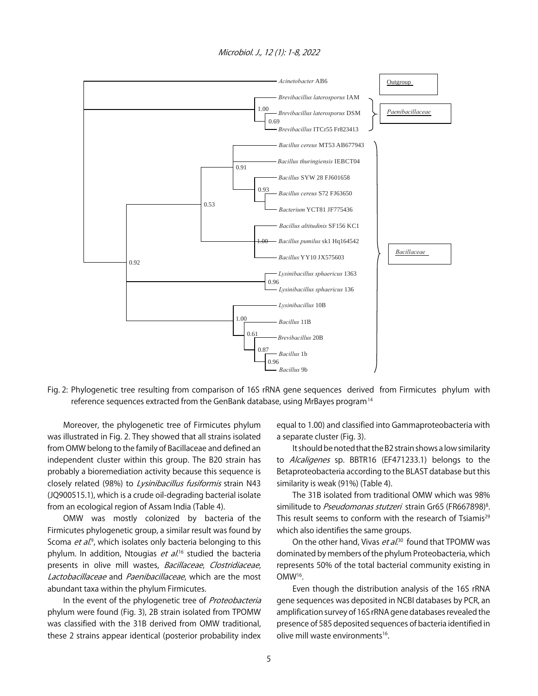



Fig. 2: Phylogenetic tree resulting from comparison of 16S rRNA gene sequences derived from Firmicutes phylum with reference sequences extracted from the GenBank database, using MrBayes program<sup>14</sup>

Moreover, the phylogenetic tree of Firmicutes phylum was illustrated in Fig. 2. They showed that all strains isolated from OMW belong to the family of Bacillaceae and defined an independent cluster within this group. The B20 strain has probably a bioremediation activity because this sequence is closely related (98%) to Lysinibacillus fusiformis strain N43 (JQ900515.1), which is a crude oil-degrading bacterial isolate from an ecological region of Assam India (Table 4).

OMW was mostly colonized by bacteria of the Firmicutes phylogenetic group, a similar result was found by Scoma et al.<sup>9</sup>, which isolates only bacteria belonging to this phylum. In addition, Ntougias *et al*.<sup>16</sup> studied the bacteria presents in olive mill wastes, Bacillaceae, Clostridiaceae, Lactobacillaceae and Paenibacillaceae, which are the most abundant taxa within the phylum Firmicutes.

In the event of the phylogenetic tree of Proteobacteria phylum were found (Fig. 3), 2B strain isolated from TPOMW was classified with the 31B derived from OMW traditional, these 2 strains appear identical (posterior probability index

equal to 1.00) and classified into Gammaproteobacteria with a separate cluster (Fig. 3).

It should be noted that the B2 strain shows a low similarity to Alcaligenes sp. BBTR16 (EF471233.1) belongs to the Betaproteobacteria according to the BLAST database but this similarity is weak (91%) (Table 4).

The 31B isolated from traditional OMW which was 98% similitude to *Pseudomonas stutzeri* strain Gr65 (FR667898)<sup>8</sup>. This result seems to conform with the research of Tsiamis<sup>29</sup> which also identifies the same groups.

On the other hand, Vivas *et al*.<sup>30</sup> found that TPOMW was dominated by members of the phylum Proteobacteria, which represents 50% of the total bacterial community existing in OMW16.

Even though the distribution analysis of the 16S rRNA gene sequences was deposited in NCBI databases by PCR, an amplification survey of 16S rRNA gene databases revealed the presence of 585 deposited sequences of bacteria identified in olive mill waste environments<sup>16</sup>.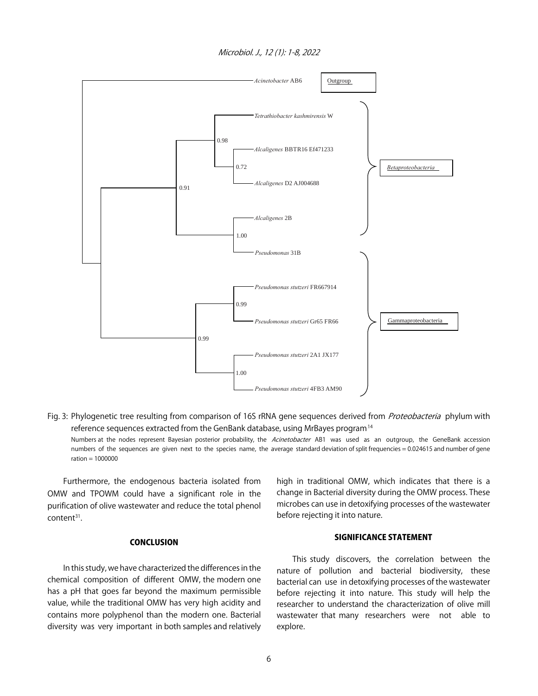Microbiol. J., 12 (1): 1-8, 2022



Fig. 3: Phylogenetic tree resulting from comparison of 16S rRNA gene sequences derived from Proteobacteria phylum with reference sequences extracted from the GenBank database, using MrBayes program<sup>14</sup> Numbers at the nodes represent Bayesian posterior probability, the Acinetobacter AB1 was used as an outgroup, the GeneBank accession numbers of the sequences are given next to the species name, the average standard deviation of split frequencies = 0.024615 and number of gene

Furthermore, the endogenous bacteria isolated from OMW and TPOWM could have a significant role in the purification of olive wastewater and reduce the total phenol content<sup>31</sup>.

 $ratio = 1000000$ 

#### **CONCLUSION**

In this study, we have characterized the differences in the chemical composition of different OMW, the modern one has a pH that goes far beyond the maximum permissible value, while the traditional OMW has very high acidity and contains more polyphenol than the modern one. Bacterial diversity was very important in both samples and relatively

high in traditional OMW, which indicates that there is a change in Bacterial diversity during the OMW process. These microbes can use in detoxifying processes of the wastewater before rejecting it into nature.

#### SIGNIFICANCE STATEMENT

This study discovers, the correlation between the nature of pollution and bacterial biodiversity, these bacterial can use in detoxifying processes of the wastewater before rejecting it into nature. This study will help the researcher to understand the characterization of olive mill wastewater that many researchers were not able to explore.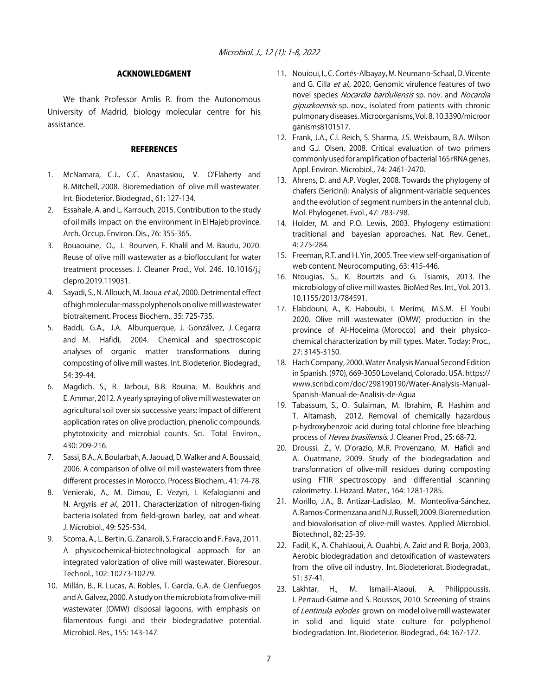#### ACKNOWLEDGMENT

We thank Professor Amlis R. from the Autonomous University of Madrid, biology molecular centre for his assistance.

#### **REFERENCES**

- 1. McNamara, C.J., C.C. Anastasiou, V. O'Flaherty and R. Mitchell, 2008. Bioremediation of olive mill wastewater. Int. Biodeterior. Biodegrad., 61: 127-134.
- 2. Essahale, A. and L. Karrouch, 2015. Contribution to the study of oil mills impact on the environment in El Hajeb province. Arch. Occup. Environ. Dis., 76: 355-365.
- 3. Bouaouine, O., I. Bourven, F. Khalil and M. Baudu, 2020. Reuse of olive mill wastewater as a bioflocculant for water treatment processes. J. Cleaner Prod., Vol. 246. 10.1016/j.j clepro.2019.119031.
- 4. Sayadi, S., N. Allouch, M. Jaoua et al., 2000. Detrimental effect of high molecular-mass polyphenols on olive mill wastewater biotraitement. Process Biochem., 35: 725-735.
- 5. Baddi, G.A., J.A. Alburquerque, J. Gonzálvez, J. Cegarra and M. Hafidi, 2004. Chemical and spectroscopic analyses of organic matter transformations during composting of olive mill wastes. Int. Biodeterior. Biodegrad., 54: 39-44.
- 6. Magdich, S., R. Jarboui, B.B. Rouina, M. Boukhris and E. Ammar, 2012. A yearly spraying of olive mill wastewater on agricultural soil over six successive years: Impact of different application rates on olive production, phenolic compounds, phytotoxicity and microbial counts. Sci. Total Environ., 430: 209-216.
- 7. Sassi, B.A., A. Boularbah, A. Jaouad, D. Walker and A. Boussaid, 2006. A comparison of olive oil mill wastewaters from three different processes in Morocco. Process Biochem., 41: 74-78.
- 8. Venieraki, A., M. Dimou, E. Vezyri, I. Kefalogianni and N. Argyris et al., 2011. Characterization of nitrogen-fixing bacteria isolated from field-grown barley, oat and wheat. J. Microbiol., 49: 525-534.
- 9. Scoma, A., L. Bertin, G. Zanaroli, S. Fraraccio and F. Fava, 2011. A physicochemical-biotechnological approach for an integrated valorization of olive mill wastewater. Bioresour. Technol., 102: 10273-10279.
- 10. Millán, B., R. Lucas, A. Robles, T. García, G.A. de Cienfuegos and A. Gálvez, 2000. A study on the microbiota from olive-mill wastewater (OMW) disposal lagoons, with emphasis on filamentous fungi and their biodegradative potential. Microbiol. Res., 155: 143-147.
- 11. Nouioui, I., C. Cortés-Albayay, M. Neumann-Schaal, D. Vicente and G. Cilla et al., 2020. Genomic virulence features of two novel species Nocardia barduliensis sp. nov. and Nocardia gipuzkoensis sp. nov., isolated from patients with chronic pulmonary diseases. Microorganisms, Vol. 8. 10.3390/microor ganisms8101517.
- 12. Frank, J.A., C.I. Reich, S. Sharma, J.S. Weisbaum, B.A. Wilson and G.J. Olsen, 2008. Critical evaluation of two primers commonly used for amplification of bacterial 16S rRNA genes. Appl. Environ. Microbiol., 74: 2461-2470.
- 13. Ahrens, D. and A.P. Vogler, 2008. Towards the phylogeny of chafers (Sericini): Analysis of alignment-variable sequences and the evolution of segment numbers in the antennal club. Mol. Phylogenet. Evol., 47: 783-798.
- 14. Holder, M. and P.O. Lewis, 2003. Phylogeny estimation: traditional and bayesian approaches. Nat. Rev. Genet., 4: 275-284.
- 15. Freeman, R.T. and H. Yin, 2005. Tree view self-organisation of web content. Neurocomputing, 63: 415-446.
- 16. Ntougias, S., K. Bourtzis and G. Tsiamis, 2013. The microbiology of olive mill wastes. BioMed Res. Int., Vol. 2013. 10.1155/2013/784591.
- 17. Elabdouni, A., K. Haboubi, I. Merimi, M.S.M. El Youbi 2020. Olive mill wastewater (OMW) production in the province of Al-Hoceima (Morocco) and their physicochemical characterization by mill types. Mater. Today: Proc., 27: 3145-3150.
- 18. Hach Company, 2000. Water Analysis Manual Second Edition in Spanish. (970), 669-3050 Loveland, Colorado, USA. https:// www.scribd.com/doc/298190190/Water-Analysis-Manual-Spanish-Manual-de-Analisis-de-Agua
- 19. Tabassum, S., O. Sulaiman, M. Ibrahim, R. Hashim and T. Altamash, 2012. Removal of chemically hazardous p-hydroxybenzoic acid during total chlorine free bleaching process of Hevea brasiliensis. J. Cleaner Prod., 25: 68-72.
- 20. Droussi, Z., V. D'orazio, M.R. Provenzano, M. Hafidi and A. Ouatmane, 2009. Study of the biodegradation and transformation of olive-mill residues during composting using FTIR spectroscopy and differential scanning calorimetry. J. Hazard. Mater., 164: 1281-1285.
- 21. Morillo, J.A., B. Antizar-Ladislao, M. Monteoliva-Sánchez, A. Ramos-Cormenzana and N.J. Russell, 2009. Bioremediation and biovalorisation of olive-mill wastes. Applied Microbiol. Biotechnol., 82: 25-39.
- 22. Fadil, K., A. Chahlaoui, A. Ouahbi, A. Zaid and R. Borja, 2003. Aerobic biodegradation and detoxification of wastewaters from the olive oil industry. Int. Biodeteriorat. Biodegradat., 51: 37-41.
- 23. Lakhtar, H., M. Ismaili-Alaoui, A. Philippoussis, I. Perraud-Gaime and S. Roussos, 2010. Screening of strains of Lentinula edodes grown on model olive mill wastewater in solid and liquid state culture for polyphenol biodegradation. Int. Biodeterior. Biodegrad., 64: 167-172.